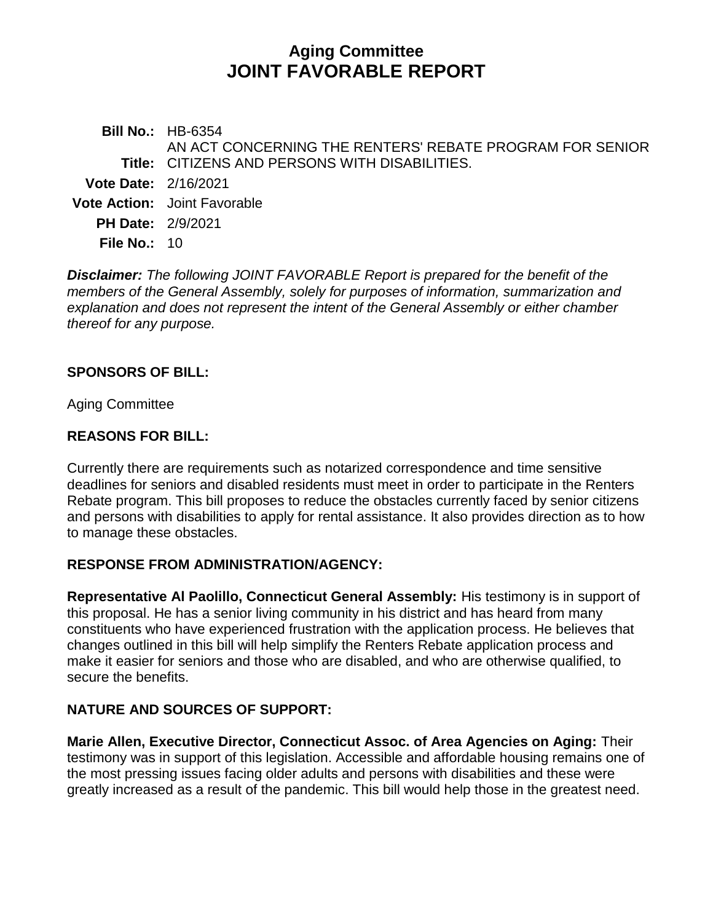# **Aging Committee JOINT FAVORABLE REPORT**

**Bill No.:** HB-6354 **Title:** CITIZENS AND PERSONS WITH DISABILITIES. AN ACT CONCERNING THE RENTERS' REBATE PROGRAM FOR SENIOR **Vote Date:** 2/16/2021 **Vote Action:** Joint Favorable **PH Date:** 2/9/2021 **File No.:** 10

*Disclaimer: The following JOINT FAVORABLE Report is prepared for the benefit of the members of the General Assembly, solely for purposes of information, summarization and explanation and does not represent the intent of the General Assembly or either chamber thereof for any purpose.*

#### **SPONSORS OF BILL:**

Aging Committee

#### **REASONS FOR BILL:**

Currently there are requirements such as notarized correspondence and time sensitive deadlines for seniors and disabled residents must meet in order to participate in the Renters Rebate program. This bill proposes to reduce the obstacles currently faced by senior citizens and persons with disabilities to apply for rental assistance. It also provides direction as to how to manage these obstacles.

#### **RESPONSE FROM ADMINISTRATION/AGENCY:**

**Representative Al Paolillo, Connecticut General Assembly:** His testimony is in support of this proposal. He has a senior living community in his district and has heard from many constituents who have experienced frustration with the application process. He believes that changes outlined in this bill will help simplify the Renters Rebate application process and make it easier for seniors and those who are disabled, and who are otherwise qualified, to secure the benefits.

## **NATURE AND SOURCES OF SUPPORT:**

**Marie Allen, Executive Director, Connecticut Assoc. of Area Agencies on Aging:** Their testimony was in support of this legislation. Accessible and affordable housing remains one of the most pressing issues facing older adults and persons with disabilities and these were greatly increased as a result of the pandemic. This bill would help those in the greatest need.